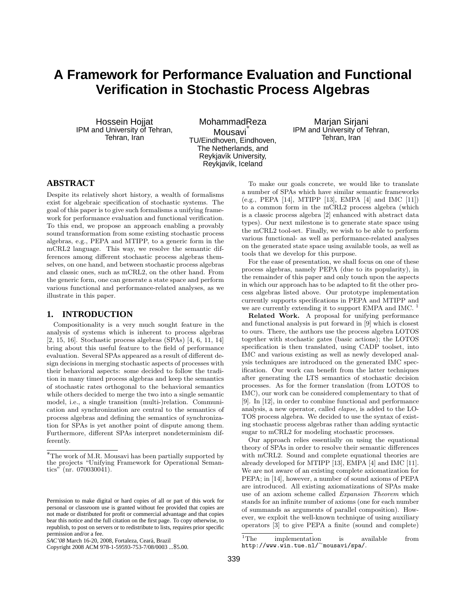# **A Framework for Performance Evaluation and Functional Verification in Stochastic Process Algebras**

Hossein Hojjat IPM and University of Tehran, Tehran, Iran

MohammadReza<br>∙\* Mousavi TU/Eindhoven, Eindhoven, The Netherlands, and Reykjavík University, Reykjavík, Iceland

Marjan Sirjani IPM and University of Tehran, Tehran, Iran

# **ABSTRACT**

Despite its relatively short history, a wealth of formalisms exist for algebraic specification of stochastic systems. The goal of this paper is to give such formalisms a unifying framework for performance evaluation and functional verification. To this end, we propose an approach enabling a provably sound transformation from some existing stochastic process algebras, e.g., PEPA and MTIPP, to a generic form in the mCRL2 language. This way, we resolve the semantic differences among different stochastic process algebras themselves, on one hand, and between stochastic process algebras and classic ones, such as mCRL2, on the other hand. From the generic form, one can generate a state space and perform various functional and performance-related analyses, as we illustrate in this paper.

# **1. INTRODUCTION**

Compositionality is a very much sought feature in the analysis of systems which is inherent to process algebras [2, 15, 16]. Stochastic process algebras (SPAs) [4, 6, 11, 14] bring about this useful feature to the field of performance evaluation. Several SPAs appeared as a result of different design decisions in merging stochastic aspects of processes with their behavioral aspects: some decided to follow the tradition in many timed process algebras and keep the semantics of stochastic rates orthogonal to the behavioral semantics while others decided to merge the two into a single semantic model, i.e., a single transition (multi-)relation. Communication and synchronization are central to the semantics of process algebras and defining the semantics of synchronization for SPAs is yet another point of dispute among them. Furthermore, different SPAs interpret nondeterminism differently.

To make our goals concrete, we would like to translate a number of SPAs which have similar semantic frameworks (e.g., PEPA [14], MTIPP [13], EMPA [4] and IMC [11]) to a common form in the mCRL2 process algebra (which is a classic process algebra [2] enhanced with abstract data types). Our next milestone is to generate state space using the mCRL2 tool-set. Finally, we wish to be able to perform various functional- as well as performance-related analyses on the generated state space using available tools, as well as tools that we develop for this purpose.

For the ease of presentation, we shall focus on one of these process algebras, namely PEPA (due to its popularity), in the remainder of this paper and only touch upon the aspects in which our approach has to be adapted to fit the other process algebras listed above. Our prototype implementation currently supports specifications in PEPA and MTIPP and we are currently extending it to support EMPA and IMC.<sup>1</sup>

Related Work. A proposal for unifying performance and functional analysis is put forward in [9] which is closest to ours. There, the authors use the process algebra LOTOS together with stochastic gates (basic actions); the LOTOS specification is then translated, using CADP toolset, into IMC and various existing as well as newly developed analysis techniques are introduced on the generated IMC specification. Our work can benefit from the latter techniques after generating the LTS semantics of stochastic decision processes. As for the former translation (from LOTOS to IMC), our work can be considered complementary to that of [9]. In [12], in order to combine functional and performance analysis, a new operator, called elapse, is added to the LO-TOS process algebra. We decided to use the syntax of existing stochastic process algebras rather than adding syntactic sugar to mCRL2 for modeling stochastic processes.

Our approach relies essentially on using the equational theory of SPAs in order to resolve their semantic differences with mCRL2. Sound and complete equational theories are already developed for MTIPP [13], EMPA [4] and IMC [11]. We are not aware of an existing complete axiomatization for PEPA; in [14], however, a number of sound axioms of PEPA are introduced. All existing axiomatizations of SPAs make use of an axiom scheme called Expansion Theorem which stands for an infinite number of axioms (one for each number of summands as arguments of parallel composition). However, we exploit the well-known technique of using auxiliary operators [3] to give PEPA a finite (sound and complete)

<sup>∗</sup>The work of M.R. Mousavi has been partially supported by the projects "Unifying Framework for Operational Semantics" (nr. 070030041).

Permission to make digital or hard copies of all or part of this work for personal or classroom use is granted without fee provided that copies are not made or distributed for profit or commercial advantage and that copies bear this notice and the full citation on the first page. To copy otherwise, to republish, to post on servers or to redistribute to lists, requires prior specific permission and/or a fee.

*SAC'08* March 16-20, 2008, Fortaleza, Ceara, Brazil ´

Copyright 2008 ACM 978-1-59593-753-7/08/0003 ...\$5.00.

<sup>&</sup>lt;sup>1</sup>The implementation is available from http://www.win.tue.nl/<sup>∼</sup>mousavi/spa/.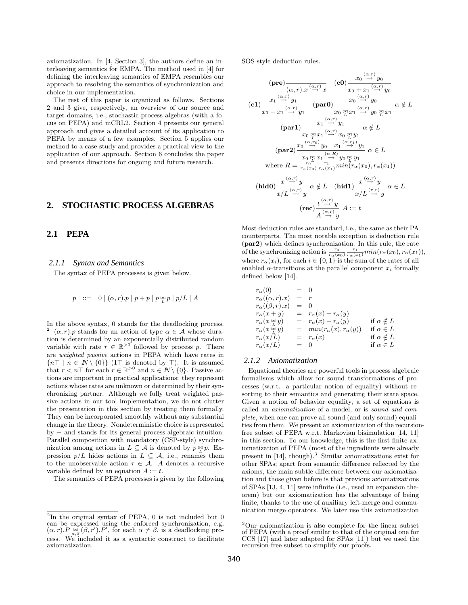axiomatization. In [4, Section 3], the authors define an interleaving semantics for EMPA. The method used in [4] for defining the interleaving semantics of EMPA resembles our approach to resolving the semantics of synchronization and choice in our implementation.

The rest of this paper is organized as follows. Sections 2 and 3 give, respectively, an overview of our source and target domains, i.e., stochastic process algebras (with a focus on PEPA) and mCRL2. Section 4 presents our general approach and gives a detailed account of its application to PEPA by means of a few examples. Section 5 applies our method to a case-study and provides a practical view to the application of our approach. Section 6 concludes the paper and presents directions for ongoing and future research.

# **2. STOCHASTIC PROCESS ALGEBRAS**

### **2.1 PEPA**

### *2.1.1 Syntax and Semantics*

The syntax of PEPA processes is given below.

$$
p \ \ ::= \ \ 0 \mid (\alpha, r).p \mid p + p \mid p \underset{\scriptscriptstyle{L}}{\bowtie} p \mid p/L \mid A
$$

In the above syntax, 0 stands for the deadlocking process. 2  $(\alpha, r)$ . p stands for an action of type  $\alpha \in \mathcal{A}$  whose duration is determined by an exponentially distributed random variable with rate  $r \in \mathbb{R}^{>0}$  followed by process p. There are weighted passive actions in PEPA which have rates in  ${n\top | n \in \mathbb{N} \setminus \{0\}}$  (1 $\top$  is denoted by  $\top$ ). It is assumed that  $r < n$ T for each  $r \in \mathbb{R}^{>0}$  and  $n \in \mathbb{N} \setminus \{0\}$ . Passive actions are important in practical applications: they represent actions whose rates are unknown or determined by their synchronizing partner. Although we fully treat weighted passive actions in our tool implementation, we do not clutter the presentation in this section by treating them formally. They can be incorporated smoothly without any substantial change in the theory. Nondeterministic choice is represented by + and stands for its general process-algebraic intuition. Parallel composition with mandatory (CSP-style) synchronization among actions in  $L \subseteq \mathcal{A}$  is denoted by  $p \underset{L}{\approx} p$ . Expression  $p/L$  hides actions in  $L \subseteq A$ , i.e., renames them to the unobservable action  $\tau \in A$ . A denotes a recursive variable defined by an equation  $A := t$ .

The semantics of PEPA processes is given by the following

SOS-style deduction rules.

$$
(\mathbf{pre})\frac{x_1 \xrightarrow{\alpha,r} x \xrightarrow{\alpha,r} (c0)}{x_0 + x_1 \xrightarrow{\alpha,r} y_0}
$$
\n
$$
(\mathbf{cl})\frac{x_1 \xrightarrow{\alpha,r} y_1}{x_0 + x_1 \xrightarrow{\alpha,r} y_1} \qquad (\mathbf{par0})\frac{x_0 \xrightarrow{\alpha,r} y_0}{x_0 \xrightarrow{\alpha,r} y_0}
$$
\n
$$
(\mathbf{par1})\frac{x_1 \xrightarrow{\alpha,r} y_1}{x_0 \xrightarrow{\alpha,r} y_1} \qquad \frac{x_1 \xrightarrow{\alpha,r} y_0}{x_0 \xrightarrow{\alpha,r} y_1}
$$
\n
$$
\alpha \notin L
$$
\n
$$
(\mathbf{par1})\frac{x_1 \xrightarrow{\alpha,r} y_1}{x_0 \xrightarrow{\alpha,r} y_1} \qquad \alpha \notin L
$$
\n
$$
(\mathbf{par2})\frac{x_0 \xrightarrow{\alpha,r} y_0}{x_0 \xrightarrow{\alpha,r} y_0}
$$
\n
$$
(\mathbf{par2})\frac{x_0 \xrightarrow{\alpha,r} y_0}{x_0 \xrightarrow{\alpha,r} y_0}
$$
\n
$$
\text{where } R = \frac{x_0 \xrightarrow{\alpha,r} x_1 \xrightarrow{\alpha,r} y_0 \xrightarrow{\alpha,r} y_1}{x_0 \xrightarrow{\alpha,r} y_1}
$$
\n
$$
(\mathbf{hid0})\frac{x \xrightarrow{\alpha,r} y}{x/L \xrightarrow{\alpha,r} y} \qquad \alpha \notin L \quad (\mathbf{hid1})\frac{x \xrightarrow{\alpha,r} y}{x/L \xrightarrow{\alpha,r} y} \qquad \alpha \in L
$$
\n
$$
(\mathbf{red})\frac{x \xrightarrow{\alpha,r} y}{x/L \xrightarrow{\alpha,r} y} A := t
$$
\n
$$
(\mathbf{rec})\frac{t \xrightarrow{\alpha,r} y}{A \xrightarrow{\alpha,r} y} A := t
$$

Most deduction rules are standard, i.e., the same as their PA counterparts. The most notable exception is deduction rule (par2) which defines synchronization. In this rule, the rate of the synchronizing action is  $\frac{r_0}{r_\alpha(x_0)} \frac{r_1}{r_\alpha(x_1)} min(r_\alpha(x_0), r_\alpha(x_1)),$ where  $r_{\alpha}(x_i)$ , for each  $i \in \{0,1\}$  is the sum of the rates of all enabled  $\alpha$ -transitions at the parallel component  $x_i$  formally defined below [14].

$$
\begin{array}{rcll} r_{\alpha}(0) & = & 0 \\ r_{\alpha}((\alpha, r).x) & = & r \\ r_{\alpha}((\beta, r).x) & = & 0 \\ r_{\alpha}(x + y) & = & r_{\alpha}(x) + r_{\alpha}(y) \\ r_{\alpha}(x \underset{\sim}{\sim} y) & = & r_{\alpha}(x) + r_{\alpha}(y) \qquad \text{if } \alpha \notin L \\ r_{\alpha}(x \underset{\sim}{\sim} y) & = & min(r_{\alpha}(x), r_{\alpha}(y)) \qquad \text{if } \alpha \in L \\ r_{\alpha}(x/L) & = & r_{\alpha}(x) \qquad \qquad \text{if } \alpha \notin L \\ r_{\alpha}(x/L) & = & 0 \qquad \qquad \text{if } \alpha \in L \end{array}
$$

### *2.1.2 Axiomatization*

Equational theories are powerful tools in process algebraic formalisms which allow for sound transformations of processes (w.r.t. a particular notion of equality) without resorting to their semantics and generating their state space. Given a notion of behavior equality, a set of equations is called an axiomatization of a model, or is sound and complete, when one can prove all sound (and only sound) equalities from them. We present an axiomatization of the recursionfree subset of PEPA w.r.t. Markovian bisimulation [14, 11] in this section. To our knowledge, this is the first finite axiomatization of PEPA (most of the ingredients were already present in  $[14]$ , though).<sup>3</sup> Similar axiomatizations exist for other SPAs; apart from semantic difference reflected by the axioms, the main subtle difference between our axiomatization and those given before is that previous axiomatizations of SPAs [13, 4, 11] were infinite (i.e., used an expansion theorem) but our axiomatization has the advantage of being finite, thanks to the use of auxiliary left-merge and communication merge operators. We later use this axiomatization

<sup>&</sup>lt;sup>2</sup>In the original syntax of PEPA, 0 is not included but 0 can be expressed using the enforced synchronization, e.g,  $(\alpha, r) \cdot P \underset{\alpha, \beta}{\bowtie} (\beta, r') \cdot P'$ , for each  $\alpha \neq \beta$ , is a deadlocking process. We included it as a syntactic construct to facilitate axiomatization.

<sup>3</sup>Our axiomatization is also complete for the linear subset of PEPA (with a proof similar to that of the original one for CCS [17] and later adapted for SPAs [11]) but we used the recursion-free subset to simplify our proofs.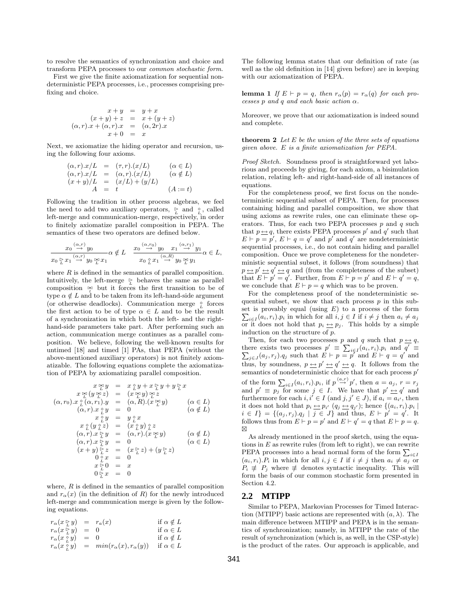to resolve the semantics of synchronization and choice and transform PEPA processes to our common stochastic form.

First we give the finite axiomatization for sequential nondeterministic PEPA processes, i.e., processes comprising prefixing and choice.

$$
x + y = y + x \n(x + y) + z = x + (y + z) \n(\alpha, r).x + (\alpha, r).x = (\alpha, 2r).x \nx + 0 = x
$$

Next, we axiomatize the hiding operator and recursion, using the following four axioms.

$$
(\alpha, r).x/L = (\tau, r).(x/L) \qquad (\alpha \in L)
$$
  
\n
$$
(\alpha, r).x/L = (\alpha, r).(x/L) \qquad (\alpha \notin L)
$$
  
\n
$$
(x + y)/L = (x/L) + (y/L) \qquad (A := t)
$$

Following the tradition in other process algebras, we feel the need to add two auxiliary operators,  $\sum_{L}$  and  $\sum_{L}$ , called left-merge and communication-merge, respectively, in order to finitely axiomatize parallel composition in PEPA. The semantics of these two operators are defined below.

$$
\frac{x_0 \stackrel{(\alpha,r)}{\longrightarrow} y_0}{x_0 \stackrel{\sim}{\underset{L}{\triangleright}} x_1 \stackrel{(\alpha,r)}{\longrightarrow} y_0 \stackrel{\bowtie}{\underset{L}{\triangleright}} x_1} \alpha \notin L \quad \frac{x_0 \stackrel{(\alpha,r_0)}{\longrightarrow} y_0}{x_0 \stackrel{\sim}{\underset{L}{\triangleright}} x_1 \stackrel{(\alpha,r)}{\longrightarrow} y_0 \stackrel{\bowtie}{\underset{L}{\triangleright}} y_1}{\longrightarrow} \alpha \in L,
$$

where  $R$  is defined in the semantics of parallel composition. Intuitively, the left-merge  $\frac{6}{L}$  behaves the same as parallel composition  $\mathbb{R}$  but it forces the first transition to be of type  $\alpha \notin L$  and to be taken from its left-hand-side argument (or otherwise deadlocks). Communication merge  $\frac{\diamond}{L}$  forces the first action to be of type  $\alpha \in L$  and to be the result of a synchronization in which both the left- and the righthand-side parameters take part. After performing such an action, communication merge continues as a parallel composition. We believe, following the well-known results for untimed [18] and timed [1] PAs, that PEPA (without the above-mentioned auxiliary operators) is not finitely axiomatizable. The following equations complete the axiomatization of PEPA by axiomatizing parallel composition.

$$
x \underset{\alpha}{\underset{\alpha}{\triangleright}} y = x \underset{\alpha}{\underset{\alpha}{\underset{\alpha}{\triangleright}} y} + x \underset{\alpha}{\underset{\alpha}{\triangleright}} y + y \underset{\alpha}{\underset{\alpha}{\triangleright}} z
$$
  
\n
$$
( \alpha, r_0 ) . x \underset{\alpha}{\underset{\alpha}{\circ}} ( \alpha, r_1 ) . y = ( \alpha, R ) . ( x \underset{\alpha}{\underset{\alpha}{\triangleright}} y} ) \underset{\alpha}{\underset{\alpha}{\triangleright}} z
$$
  
\n
$$
( \alpha, r_0 ) . x \underset{\alpha}{\underset{\alpha}{\circ}} ( \alpha, r ) . x \underset{\alpha}{\underset{\alpha}{\circ}} y = 0 \qquad (\alpha \in L )
$$
  
\n
$$
x \underset{\alpha}{\underset{\alpha}{\circ}} y = y \underset{\alpha}{\underset{\alpha}{\circ}} x
$$
  
\n
$$
x \underset{\alpha}{\underset{\alpha}{\circ}} ( y \underset{\alpha}{\underset{\alpha}{\circ}} z ) = ( x \underset{\alpha}{\underset{\alpha}{\circ}} y ) \underset{\alpha}{\underset{\alpha}{\circ}} z
$$
  
\n
$$
( \alpha, r ) . x \underset{\alpha}{\underset{\alpha}{\triangleright}} y = ( \alpha, r ) . ( x \underset{\alpha}{\underset{\alpha}{\triangleright}} y ) \qquad (\alpha \notin L )
$$
  
\n
$$
( \alpha, r ) . x \underset{\alpha}{\underset{\alpha}{\triangleright}} y = 0 \qquad (\alpha \in L )
$$
  
\n
$$
( x + y ) \underset{\alpha}{\underset{\alpha}{\triangleright}} z = ( x \underset{\alpha}{\underset{\alpha}{\triangleright}} z ) + ( y \underset{\alpha}{\underset{\alpha}{\triangleright}} z )
$$
  
\n
$$
0 \underset{\alpha}{\underset{\alpha}{\circ}} x = 0
$$
  
\n
$$
x \underset{\alpha}{\triangleright} 0 = x
$$
  
\n
$$
0 \underset{\alpha}{\underset{\alpha}{\triangleright}} x = 0
$$

where,  $R$  is defined in the semantics of parallel composition and  $r_{\alpha}(x)$  (in the definition of R) for the newly introduced left-merge and communication merge is given by the following equations.

$$
\begin{array}{rcll} r_{\alpha}(x \underset{L}{\triangleright} y) & = & r_{a}(x) & \text{if} \ \alpha \notin L \\ r_{\alpha}(x \underset{L}{\triangleright} y) & = & 0 & \text{if} \ \alpha \in L \\ r_{\alpha}(x \underset{L}{\triangleright} y) & = & 0 & \text{if} \ \alpha \notin L \\ r_{\alpha}(x \underset{L}{\triangleright} y) & = & min(r_{\alpha}(x), r_{\alpha}(y)) & \text{if} \ \alpha \in L \end{array}
$$

The following lemma states that our definition of rate (as well as the old definition in [14] given before) are in keeping with our axiomatization of PEPA.

lemma 1 If  $E \vdash p = q$ , then  $r_{\alpha}(p) = r_{\alpha}(q)$  for each processes  $p$  and  $q$  and each basic action  $\alpha$ .

Moreover, we prove that our axiomatization is indeed sound and complete.

**theorem 2** Let  $E$  be the union of the three sets of equations given above. E is a finite axiomatization for PEPA.

Proof Sketch. Soundness proof is straightforward yet laborious and proceeds by giving, for each axiom, a bisimulation relation, relating left- and right-hand-side of all instances of equations.

For the completeness proof, we first focus on the nondeterministic sequential subset of PEPA. Then, for processes containing hiding and parallel composition, we show that using axioms as rewrite rules, one can eliminate these operators. Thus, for each two PEPA processes  $p$  and  $q$  such that  $p \leftrightarrow q$ , there exists PEPA processes p' and q' such that  $E \vdash p = p'$ ,  $E \vdash q = q'$  and p' and q' are nondeterministic sequential processes, i.e., do not contain hiding and parallel composition. Once we prove completeness for the nondeterministic sequential subset, it follows (from soundness) that  $p \leftrightarrow p' \leftrightarrow q' \leftrightarrow q$  and (from the completeness of the subset) that  $E \vdash p' = q'$ . Further, from  $E \vdash p = p'$  and  $E \vdash q' = q$ , we conclude that  $E \vdash p = q$  which was to be proven.

For the completeness proof of the nondeterministic sequential subset, we show that each process  $p$  in this sub- $\sum_{i\in I} (a_i, r_i) \cdot p_i$  in which for all  $i, j \in I$  if  $i \neq j$  then  $a_i \neq a_j$ set is provably equal (using  $E$ ) to a process of the form or it does not hold that  $p_i \underline{\leftrightarrow} p_j$ . This holds by a simple induction on the structure of p.

Then, for each two processes p and q such that  $p \leftrightarrow q$ , there exists two processes  $p' \equiv \sum_{i \in I} (a_i, r_i) \cdot p_i$  and  $q' \equiv \sum_{j \in J} (a_j, r_j) \cdot q_j$  such that  $E \vdash p = p'$  and  $E \vdash q = q'$  and thus, by soundness,  $p \leftrightarrow p' \leftrightarrow q' \leftrightarrow q$ . It follows from the semantics of nondeterministic choice that for each process  $p'$ of the form  $\sum_{i\in I} (a_i, r_i) \cdot p_i$ , if  $p \stackrel{(a,r)}{\rightarrow} p'$ , then  $a = a_j$ ,  $r = r_j$ and  $p' \equiv p_j$  for some  $j \in I$ . We have that  $p' \underline{\leftrightarrow} q'$  and furthermore for each  $i, i' \in I$  (and  $j, j' \in J$ ), if  $a_i = a_{i'}$ , then it does not hold that  $p_i \underline{\leftrightarrow} p_{i'}$   $(q_j \underline{\leftrightarrow} q_{j'})$ ; hence  $\{(a_i, r_i) . p_i \mid$  $i \in I$  = { $(a_j, r_j) \cdot q_j \mid j \in J$ } and thus,  $E \vdash p' = q'$ . It follows thus from  $E \vdash p = p'$  and  $E \vdash q' = q$  that  $E \vdash p = q$ .  $\boxtimes$ 

As already mentioned in the proof sketch, using the equations in  $E$  as rewrite rules (from left to right), we can rewrite PEPA processes into a head normal form of the form  $\sum_{i \in I}$  $(a_i, r_i) \cdot P_i$  in which for all  $i, j \in I$  if  $i \neq j$  then  $a_i \neq a_j$  or  $P_i \neq P_j$  where  $\neq$  denotes syntactic inequality. This will form the basis of our common stochastic form presented in Section 4.2.

### **2.2 MTIPP**

Similar to PEPA, Markovian Processes for Timed Interaction (MTIPP) basic actions are represented with  $(a, \lambda)$ . The main difference between MTIPP and PEPA is in the semantics of synchronization; namely, in MTIPP the rate of the result of synchronization (which is, as well, in the CSP-style) is the product of the rates. Our approach is applicable, and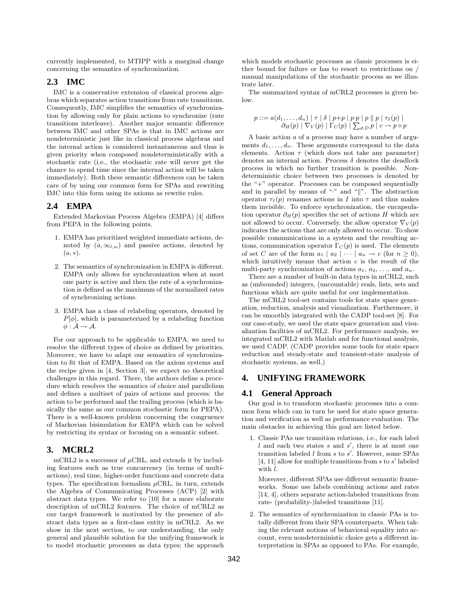currently implemented, to MTIPP with a marginal change concerning the semantics of synchronization.

# **2.3 IMC**

IMC is a conservative extension of classical process algebras which separates action transitions from rate transitions. Consequently, IMC simplifies the semantics of synchronization by allowing only for plain actions to synchronize (rate transitions interleave). Another major semantic difference between IMC and other SPAs is that in IMC actions are nondeterministic just like in classical process algebras and the internal action is considered instantaneous and thus is given priority when composed nondeterministically with a stochastic rate (i.e., the stochastic rate will never get the chance to spend time since the internal action will be taken immediately). Both these semantic differences can be taken care of by using our common form for SPAs and rewriting IMC into this form using its axioms as rewrite rules.

# **2.4 EMPA**

Extended Markovian Process Algebra (EMPA) [4] differs from PEPA in the following points.

- 1. EMPA has prioritized weighted immediate actions, denoted by  $(a, \infty_{l,w})$  and passive actions, denoted by  $(a, *).$
- 2. The semantics of synchronization in EMPA is different. EMPA only allows for synchronization when at most one party is active and then the rate of a synchronization is defined as the maximum of the normalized rates of synchronizing actions.
- 3. EMPA has a class of relabeling operators, denoted by  $P[\phi]$ , which is parameterized by a relabeling function  $\phi: \mathcal{A} \rightarrow \mathcal{A}.$

For our approach to be applicable to EMPA, we need to resolve the different types of choice as defined by priorities. Moreover, we have to adapt our semantics of synchronization to fit that of EMPA. Based on the axiom systems and the recipe given in [4, Section 3], we expect no theoretical challenges in this regard. There, the authors define a procedure which resolves the semantics of choice and parallelism and defines a multiset of pairs of actions and process: the action to be performed and the trailing process (which is basically the same as our common stochastic form for PEPA). There is a well-known problem concerning the congruence of Markovian bisimulation for EMPA which can be solved by restricting its syntax or focusing on a semantic subset.

# **3. MCRL2**

mCRL2 is a successor of  $\mu$ CRL, and extends it by including features such as true concurrency (in terms of multiactions), real time, higher-order functions and concrete data types. The specification formalism  $\mu$ CRL, in turn, extends the Algebra of Communicating Processes (ACP) [2] with abstract data types. We refer to [10] for a more elaborate description of mCRL2 features. The choice of mCRL2 as our target framework is motivated by the presence of abstract data types as a first-class entity in mCRL2. As we show in the next section, to our understanding, the only general and plausible solution for the unifying framework is to model stochastic processes as data types; the approach

which models stochastic processes as classic processes is either bound for failure or has to resort to restrictions on / manual manipulations of the stochastic process as we illustrate later.

The summarized syntax of mCRL2 processes is given below.

$$
p ::= a(d_1, ..., d_n) | \tau | \delta | p+p | p p | p | p | \tau_1(p) |
$$
  

$$
\partial_H(p) | \nabla_V(p) | \Gamma_C(p) | \sum_{d:D} p | c \rightarrow p \diamond p
$$

A basic action a of a process may have a number of arguments  $d_1, \ldots, d_n$ . These arguments correspond to the data elements. Action  $\tau$  (which does not take any parameter) denotes an internal action. Process  $\delta$  denotes the deadlock process in which no further transition is possible. Nondeterministic choice between two processes is denoted by the "+" operator. Processes can be composed sequentially and in parallel by means of "." and " $\|$ ". The abstraction operator  $\tau_I(p)$  renames actions in I into  $\tau$  and thus makes them invisible. To enforce synchronization, the encapsulation operator  $\partial_H(p)$  specifies the set of actions H which are not allowed to occur. Conversely, the allow operator  $\nabla_V(p)$ indicates the actions that are only allowed to occur. To show possible communications in a system and the resulting actions, communication operator  $\Gamma_C(p)$  is used. The elements of set C are of the form  $a_1 | a_2 | \cdots | a_n \rightarrow c$  (for  $n \ge 0$ ), which intuitively means that action  $c$  is the result of the multi-party synchronization of actions  $a_1, a_2, \ldots$ , and  $a_n$ .

There are a number of built-in data types in mCRL2, such as (unbounded) integers, (uncountable) reals, lists, sets and functions which are quite useful for our implementation.

The mCRL2 tool-set contains tools for state space generation, reduction, analysis and visualization. Furthermore, it can be smoothly integrated with the CADP tool-set [8]. For our case-study, we used the state space generation and visualization facilities of mCRL2. For performance analysis, we integrated mCRL2 with Matlab and for functional analysis, we used CADP. (CADP provides some tools for state space reduction and steady-state and transient-state analysis of stochastic systems, as well.)

# **4. UNIFYING FRAMEWORK**

### **4.1 General Approach**

Our goal is to transform stochastic processes into a common form which can in turn be used for state space generation and verification as well as performance evaluation. The main obstacles in achieving this goal are listed below.

1. Classic PAs use transition relations, i.e., for each label  $l$  and each two states s and  $s'$ , there is at most one transition labeled  $l$  from  $s$  to  $s'$ . However, some SPAs [4, 11] allow for multiple transitions from  $s$  to  $s'$  labeled with l.

Moreover, different SPAs use different semantic frameworks. Some use labels combining actions and rates [14, 4], others separate action-labeled transitions from rate- (probability-)labeled transitions [11].

2. The semantics of synchronization in classic PAs is totally different from their SPA counterparts. When taking the relevant notions of behavioral equality into account, even nondeterministic choice gets a different interpretation in SPAs as opposed to PAs. For example,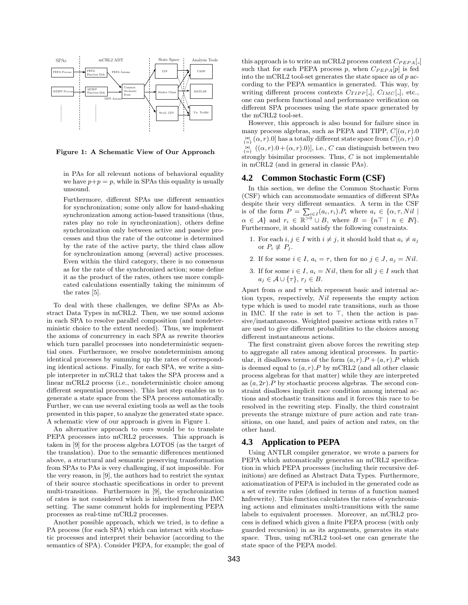

Figure 1: A Schematic View of Our Approach

in PAs for all relevant notions of behavioral equality we have  $p+p=p$ , while in SPAs this equality is usually unsound.

Furthermore, different SPAs use different semantics for synchronization; some only allow for hand-shaking synchronization among action-based transitions (thus, rates play no role in synchronization), others define synchronization only between active and passive processes and thus the rate of the outcome is determined by the rate of the active party, the third class allow for synchronization among (several) active processes. Even within the third category, there is no consensus as for the rate of the synchronized action; some define it as the product of the rates, others use more complicated calculations essentially taking the minimum of the rates [5].

To deal with these challenges, we define SPAs as Abstract Data Types in mCRL2. Then, we use sound axioms in each SPA to resolve parallel composition (and nondeterministic choice to the extent needed). Thus, we implement the axioms of concurrency in each SPA as rewrite theories which turn parallel processes into nondeterministic sequential ones. Furthermore, we resolve nondeterminism among identical processes by summing up the rates of corresponding identical actions. Finally, for each SPA, we write a simple interpreter in mCRL2 that takes the SPA process and a linear mCRL2 process (i.e., nondeterministic choice among different sequential processes). This last step enables us to generate a state space from the SPA process automatically. Further, we can use several existing tools as well as the tools presented in this paper, to analyze the generated state space. A schematic view of our approach is given in Figure 1.

An alternative approach to ours would be to translate PEPA processes into mCRL2 processes. This approach is taken in [9] for the process algebra LOTOS (as the target of the translation). Due to the semantic differences mentioned above, a structural and semantic preserving transformation from SPAs to PAs is very challenging, if not impossible. For the very reason, in [9], the authors had to restrict the syntax of their source stochastic specifications in order to prevent multi-transitions. Furthermore in [9], the synchronization of rates is not considered which is inherited from the IMC setting. The same comment holds for implementing PEPA processes as real-time mCRL2 processes.

Another possible approach, which we tried, is to define a PA process (for each SPA) which can interact with stochastic processes and interpret their behavior (according to the semantics of SPA). Consider PEPA, for example; the goal of this approach is to write an mCRL2 process context  $C_{PEPA}$ [.] such that for each PEPA process p, when  $C_{PEPA}[p]$  is fed into the mCRL2 tool-set generates the state space as of  $p$  according to the PEPA semantics is generated. This way, by writing different process contexts  $C_{TIPP}[-]$ ,  $C_{IMC}[-]$ , etc., one can perform functional and performance verification on different SPA processes using the state space generated by the mCRL2 tool-set.

However, this approach is also bound for failure since in many process algebras, such as PEPA and TIPP,  $C[(\alpha, r)$ .0  $\mathbb{R}^{\bowtie}_{\{\alpha\}}(\alpha,r)$ .0] has a totally different state space from  $C[(\alpha,r)$ .0  $\mathbb{R} \setminus {\alpha \atop {\{\alpha, r\}.\,}} (\alpha, r) \cdot 0 + (\alpha, r) \cdot 0],$  i.e., C can distinguish between two strongly bisimilar processes. Thus,  $C$  is not implementable in mCRL2 (and in general in classic PAs).

### **4.2 Common Stochastic Form (CSF)**

In this section, we define the Common Stochastic Form (CSF) which can accommodate semantics of different SPAs despite their very different semantics. A term in the CSF is of the form  $P = \sum_{i \in I} (a_i, r_i) P_i$ , where  $a_i \in \{ \alpha, \tau, Nil \mid \}$  $\alpha \in \mathcal{A}\}\$ and  $r_i \in \mathbb{R}^{>0} \cup B$ , where  $B = \{n \top \mid n \in \mathbb{N}\}\$ . Furthermore, it should satisfy the following constraints.

- 1. For each  $i, j \in I$  with  $i \neq j$ , it should hold that  $a_i \neq a_j$ or  $P_i \not\equiv P_j$ .
- 2. If for some  $i \in I$ ,  $a_i = \tau$ , then for no  $j \in J$ ,  $a_j = Nil$ .
- 3. If for some  $i \in I$ ,  $a_i = Nil$ , then for all  $j \in I$  such that  $a_j \in \mathcal{A} \cup \{\tau\}, r_j \in B.$

Apart from  $\alpha$  and  $\tau$  which represent basic and internal action types, respectively,  $Nil$  represents the empty action type which is used to model rate transitions, such as those in IMC. If the rate is set to  $\top$ , then the action is passive/instantaneous. Weighted passive actions with rates  $n\top$ are used to give different probabilities to the choices among different instantaneous actions.

The first constraint given above forces the rewriting step to aggregate all rates among identical processes. In particular, it disallows terms of the form  $(a, r) \cdot P + (a, r) \cdot P$  which is deemed equal to  $(a, r)$ . P by mCRL2 (and all other classic process algebras for that matter) while they are interpreted as  $(a, 2r)$ . P by stochastic process algebras. The second constraint disallows implicit race condition among internal actions and stochastic transitions and it forces this race to be resolved in the rewriting step. Finally, the third constraint prevents the strange mixture of pure action and rate transitions, on one hand, and pairs of action and rates, on the other hand.

### **4.3 Application to PEPA**

Using ANTLR compiler generator, we wrote a parsers for PEPA which automatically generates an mCRL2 specification in which PEPA processes (including their recursive definitions) are defined as Abstract Data Types. Furthermore, axiomatization of PEPA is included in the generated code as a set of rewrite rules (defined in terms of a function named hnfrewrite). This function calculates the rates of synchronizing actions and eliminates multi-transitions with the same labels to equivalent processes. Moreover, an mCRL2 process is defined which given a finite PEPA process (with only guarded recursion) in as its arguments, generates its state space. Thus, using mCRL2 tool-set one can generate the state space of the PEPA model.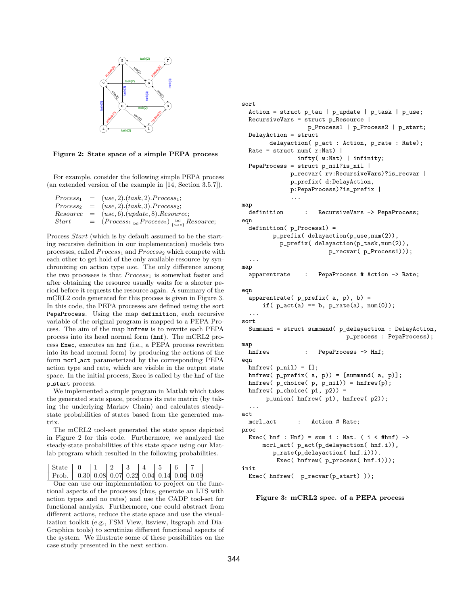

Figure 2: State space of a simple PEPA process

For example, consider the following simple PEPA process (an extended version of the example in [14, Section 3.5.7]).

|       | $Process_1 = (use, 2).(task, 2). Process_1;$               |
|-------|------------------------------------------------------------|
|       | $Process_2 = (use, 2) \cdot (task, 3) \cdot Process_2;$    |
|       | $Resource = (use, 6). (update, 8). Resource;$              |
| Start | $= (Process_{1_{\infty}} Process_{2})_{\{use\}}$ Resource; |

Process Start (which is by default assumed to be the starting recursive definition in our implementation) models two processes, called  $Process_1$  and  $Process_2$  which compete with each other to get hold of the only available resource by synchronizing on action type use. The only difference among the two processes is that  $Process_1$  is somewhat faster and after obtaining the resource usually waits for a shorter period before it requests the resource again. A summary of the mCRL2 code generated for this process is given in Figure 3. In this code, the PEPA processes are defined using the sort PepaProcess. Using the map definition, each recursive variable of the original program is mapped to a PEPA Process. The aim of the map hnfrew is to rewrite each PEPA process into its head normal form (hnf). The mCRL2 process Exec, executes an hnf (i.e., a PEPA process rewritten into its head normal form) by producing the actions of the form mcrl act parameterized by the corresponding PEPA action type and rate, which are visible in the output state space. In the initial process, Exec is called by the hnf of the p\_start process.

We implemented a simple program in Matlab which takes the generated state space, produces its rate matrix (by taking the underlying Markov Chain) and calculates steadystate probabilities of states based from the generated matrix.

The mCRL2 tool-set generated the state space depicted in Figure 2 for this code. Furthermore, we analyzed the steady-state probabilities of this state space using our Matlab program which resulted in the following probabilities.

| State 0 1 2 3 4 5 6                           |  |  |  |  |
|-----------------------------------------------|--|--|--|--|
| Prob. 0.30 0.08 0.07 0.22 0.04 0.14 0.06 0.09 |  |  |  |  |

One can use our implementation to project on the functional aspects of the processes (thus, generate an LTS with action types and no rates) and use the CADP tool-set for functional analysis. Furthermore, one could abstract from different actions, reduce the state space and use the visualization toolkit (e.g., FSM View, ltsview, ltsgraph and Dia-Graphica tools) to scrutinize different functional aspects of the system. We illustrate some of these possibilities on the case study presented in the next section.

```
sort
 Action = struct p_tau | p_update | p_task | p_use;
 RecursiveVars = struct p_Resource |
                  p_Process1 | p_Process2 | p_start;
 DelayAction = struct
        delayaction( p_act : Action, p_rate : Rate);
 Rate = struct num(r:Nat) |
                infty( w:Nat) | infinity;
 PepaProcess = struct p_nil?is_nil |
             p_recvar( rv:RecursiveVars)?is_recvar |
              p_prefix( d:DelayAction,
              p:PepaProcess)?is_prefix |
              ...
map
 definition : RecursiveVars -> PepaProcess;
eqn
 definition( p_Process1) =
        p_prefix( delayaction(p_use,num(2)),
          p_prefix( delayaction(p_task,num(2)),
                        p_recvar( p_Process1)));
  ...
map
 apparentrate : PepaProcess # Action -> Rate;
eqn
 apparentrate(p_{prefix}(a, p), b) =
     if(p_{act}(a) == b, p_{rate}(a), num(0));...
sort
 Summand = struct summand( p_delayaction : DelayAction,
                              p_process : PepaProcess);
map
 hnfrew : PepaProcess -> Hnf;
eqn
 hnfrew(p_nil) = [];
 hnfrew( p_prefix( a, p)) = [summand( a, p)];
 hnfrew( p\_choice( p, p\_nil)) = hnfrew( p);hnfrew( p_choice( p1, p2)) =
      p_union( hnfrew( p1), hnfrew( p2));
  ...
act
 mcrl act : Action # Rate:
proc
 Exec( hnf : Hnf) = sum i : Nat. ( i < #hnf) ->
     mcrl_act( p_act(p_delayaction( hnf.i)),
        p_rate(p_delayaction( hnf.i))).
         Exec( hnfrew( p_process( hnf.i)));
init
 Exec( hnfrew( p_recvar(p_start) ));
```
Figure 3: mCRL2 spec. of a PEPA process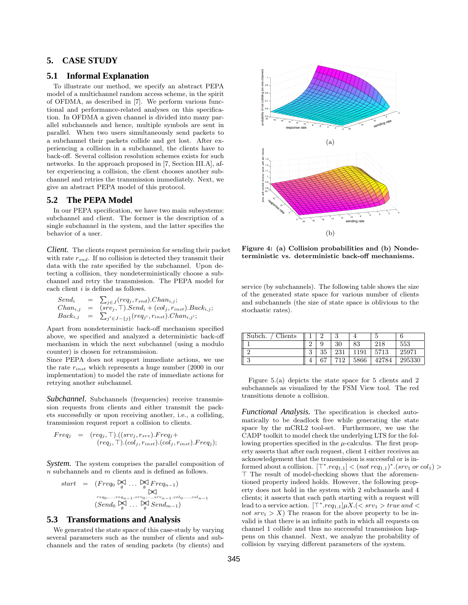# **5. CASE STUDY**

# **5.1 Informal Explanation**

To illustrate our method, we specify an abstract PEPA model of a multichannel random access scheme, in the spirit of OFDMA, as described in [7]. We perform various functional and performance-related analyses on this specification. In OFDMA a given channel is divided into many parallel subchannels and hence, multiple symbols are sent in parallel. When two users simultaneously send packets to a subchannel their packets collide and get lost. After experiencing a collision in a subchannel, the clients have to back-off. Several collision resolution schemes exists for such networks. In the approach proposed in [7, Section III.A], after experiencing a collision, the client chooses another subchannel and retries the transmission immediately. Next, we give an abstract PEPA model of this protocol.

### **5.2 The PEPA Model**

In our PEPA specification, we have two main subsystems: subchannel and client. The former is the description of a single subchannel in the system, and the latter specifies the behavior of a user.

*Client.* The clients request permission for sending their packet with rate  $r_{snd}$ . If no collision is detected they transmit their data with the rate specified by the subchannel. Upon detecting a collision, they nondeterministically choose a subchannel and retry the transmission. The PEPA model for each client i is defined as follows.

$$
Send_i = \sum_{j \in J}(req_j, r_{snd}).Chan_{i,j};
$$
  
\n
$$
Chan_{i,j} = (srv_j, \top).Send_i + (col_j, r_{inst}).Back_{i,j};
$$
  
\n
$$
Back_{i,j} = \sum_{j' \in J - \{j\}} (req_{j'}, r_{inst}).Chan_{i,j'};
$$

Apart from nondeterministic back-off mechanism specified above, we specified and analyzed a deterministic back-off mechanism in which the next subchannel (using a modulo counter) is chosen for retransmission.

Since PEPA does not support immediate actions, we use the rate  $r_{inst}$  which represents a huge number (2000 in our implementation) to model the rate of immediate actions for retrying another subchannel.

*Subchannel.* Subchannels (frequencies) receive transmission requests from clients and either transmit the packets successfully or upon receiving another, i.e., a colliding, transmission request report a collision to clients.

$$
Freq_j = (req_j, \top).((srv_j, r_{srv}).Freq_j + (req_j, \top).(col_j, r_{inst}).Freq_j);
$$

*System.* The system comprises the parallel composition of n subchannels and m clients and is defined as follows.

start = 
$$
(Freq_0 \Join \dots \Join_{\emptyset}Freq_{n-1})
$$
  
\n $\Join_{req_0,\dots,req_{n-1}, srv_0,\dots, srv_{n-1}, col_0,\dots, col_{n-1}} \times (Send_0 \Join_{\emptyset} \dots \Join_{\emptyset}Send_{m-1})$ 

### **5.3 Transformations and Analysis**

We generated the state space of this case-study by varying several parameters such as the number of clients and subchannels and the rates of sending packets (by clients) and



Figure 4: (a) Collision probabilities and (b) Nondeterministic vs. deterministic back-off mechanisms.

service (by subchannels). The following table shows the size of the generated state space for various number of clients and subchannels (the size of state space is oblivious to the stochastic rates).

| Clients<br>Subch. |               |        |     |      | υ     |        |
|-------------------|---------------|--------|-----|------|-------|--------|
|                   |               |        | 30  | 83   | 218   | 553    |
|                   | $\Omega$<br>υ | 35     | 231 | 191  | 5713  | 25971  |
| $\Omega$<br>u     |               | $\sim$ | 712 | 5866 | 42784 | 295330 |

Figure 5.(a) depicts the state space for 5 clients and 2 subchannels as visualized by the FSM View tool. The red transitions denote a collision.

*Functional Analysis.* The specification is checked automatically to be deadlock free while generating the state space by the mCRL2 tool-set. Furthermore, we use the CADP toolkit to model check the underlying LTS for the following properties specified in the  $\mu$ -calculus. The first property asserts that after each request, client 1 either receives an acknowledgement that the transmission is successful or is informed about a collision.  $[\top^* \text{.}req_{1,1}] < (not \text{.}req_{1,1})^* \text{.} (srv_1 \text{.}or \text{.}col_1) >$  $\top$  The result of model-checking shows that the aforementioned property indeed holds. However, the following property does not hold in the system with 2 subchannels and 4 clients; it asserts that each path starting with a request will lead to a service action.  $\lbrack\top^* .req_{1,1} \rbrack \mu X. \lbrack \leq svv_1 > true \ and \leq$ not  $srv_1 > X$ ) The reason for the above property to be invalid is that there is an infinite path in which all requests on channel 1 collide and thus no successful transmission happens on this channel. Next, we analyze the probability of collision by varying different parameters of the system.